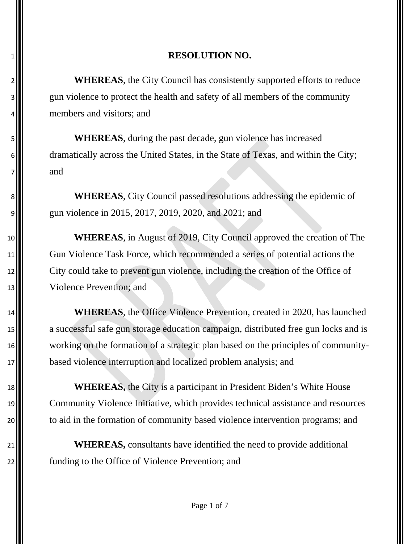2<sup>1</sup> WHEREAS, the City Council has consistently supported efforts to reduce 3. gun violence to protect the health and safety of all members of the community **m**embers and visitors; and

 **WHEREAS**, during the past decade, gun violence has increased 6. dramatically across the United States, in the State of Texas, and within the City;  $7 \parallel \parallel$  and

8<sup>1</sup> WHEREAS, City Council passed resolutions addressing the epidemic of g|| gun violence in 2015, 2017, 2019, 2020, and 2021; and

 **WHEREAS**, in August of 2019, City Council approved the creation of The Gun Violence Task Force, which recommended a series of potential actions the City could take to prevent gun violence, including the creation of the Office of Violence Prevention; and

 **WHEREAS**, the Office Violence Prevention, created in 2020, has launched **a** successful safe gun storage education campaign, distributed free gun locks and is working on the formation of a strategic plan based on the principles of community-**based violence interruption and localized problem analysis; and** 

**WHEREAS**, the City is a participant in President Biden's White House Community Violence Initiative, which provides technical assistance and resources 20 to aid in the formation of community based violence intervention programs; and

21<sup>1</sup> **WHEREAS**, consultants have identified the need to provide additional **funding to the Office of Violence Prevention**; and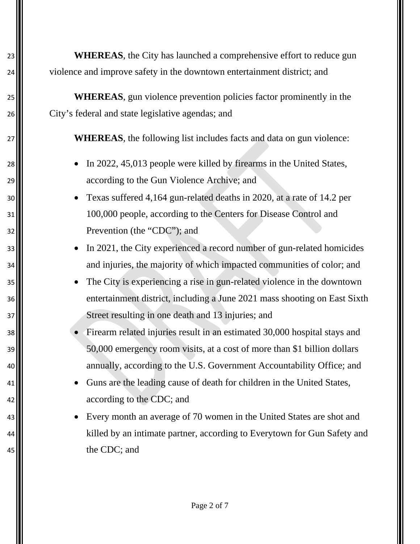23 **WHEREAS**, the City has launched a comprehensive effort to reduce gun 24 violence and improve safety in the downtown entertainment district; and

25 **WHEREAS**, gun violence prevention policies factor prominently in the 26 City's federal and state legislative agendas; and

27 **WHEREAS**, the following list includes facts and data on gun violence:

- 28 **I.** In 2022, 45,013 people were killed by firearms in the United States, 29  $\blacksquare$  according to the Gun Violence Archive; and
- 30 Texas suffered 4,164 gun-related deaths in 2020, at a rate of 14.2 per 31 100,000 people, according to the Centers for Disease Control and 32 **Prevention** (the "CDC"); and
- 33 **•** In 2021, the City experienced a record number of gun-related homicides 34  $\blacksquare$  and injuries, the majority of which impacted communities of color; and
- 35 The City is experiencing a rise in gun-related violence in the downtown 36 entertainment district, including a June 2021 mass shooting on East Sixth 37 Street resulting in one death and 13 injuries; and
- 38 Firearm related injuries result in an estimated 30,000 hospital stays and 39 50,000 emergency room visits, at a cost of more than \$1 billion dollars 40 annually, according to the U.S. Government Accountability Office; and
- 41 Guns are the leading cause of death for children in the United States, 42 **according to the CDC**; and
- 43 Every month an average of 70 women in the United States are shot and 44  $\parallel$  killed by an intimate partner, according to Everytown for Gun Safety and 45 **the CDC**; and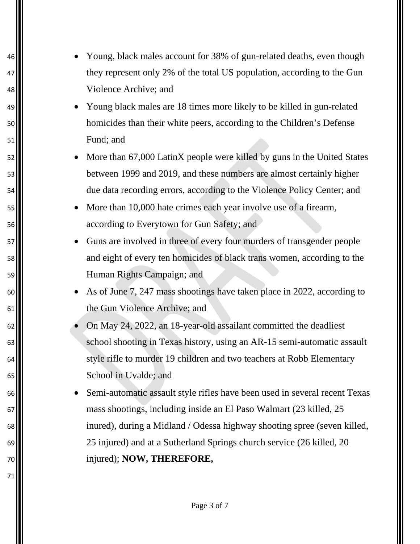- <sup>46</sup> Young, black males account for 38% of gun-related deaths, even though 47  $\parallel$  they represent only 2% of the total US population, according to the Gun Violence Archive; and
- Young black males are 18 times more likely to be killed in gun-related homicides than their white peers, according to the Children's Defense Fund; and
- 52 More than 67,000 LatinX people were killed by guns in the United States between 1999 and 2019, and these numbers are almost certainly higher due data recording errors, according to the Violence Policy Center; and
- **More than 10,000 hate crimes each year involve use of a firearm,** according to Everytown for Gun Safety; and
- **Guns are involved in three of every four murders of transgender people**  and eight of every ten homicides of black trans women, according to the Human Rights Campaign; and
- As of June 7, 247 mass shootings have taken place in 2022, according to the Gun Violence Archive; and
- On May 24, 2022, an 18-year-old assailant committed the deadliest 63  $\blacksquare$  school shooting in Texas history, using an AR-15 semi-automatic assault 64  $\blacksquare$  style rifle to murder 19 children and two teachers at Robb Elementary School in Uvalde; and
- Semi-automatic assault style rifles have been used in several recent Texas mass shootings, including inside an El Paso Walmart (23 killed, 25 inured), during a Midland / Odessa highway shooting spree (seven killed, 25 injured) and at a Sutherland Springs church service (26 killed, 20 injured); **NOW, THEREFORE,**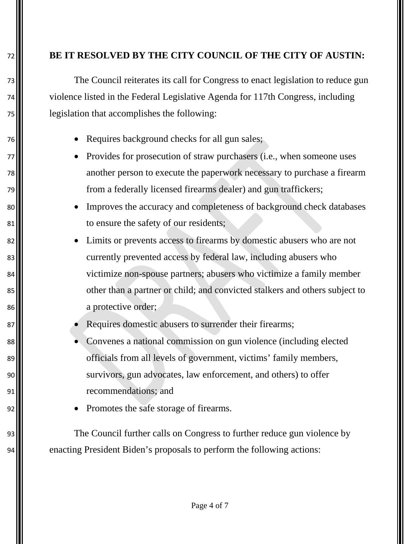### 72 **BE IT RESOLVED BY THE CITY COUNCIL OF THE CITY OF AUSTIN:**

73 The Council reiterates its call for Congress to enact legislation to reduce gun 74 violence listed in the Federal Legislative Agenda for 117th Congress, including 75 legislation that accomplishes the following:

- 76 Requires background checks for all gun sales;
- 77 Provides for prosecution of straw purchasers (i.e., when someone uses 78 another person to execute the paperwork necessary to purchase a firearm 79 from a federally licensed firearms dealer) and gun traffickers;
- 80 Improves the accuracy and completeness of background check databases 81  $\blacksquare$  to ensure the safety of our residents;
- 82  $\parallel$  Limits or prevents access to firearms by domestic abusers who are not 83. Example 1 currently prevented access by federal law, including abusers who 84  $\blacksquare$  victimize non-spouse partners; abusers who victimize a family member 85  $\blacksquare$  other than a partner or child; and convicted stalkers and others subject to 86 a protective order;
- 87  **Requires domestic abusers to surrender their firearms;**
- 88  $\blacksquare$  Convenes a national commission on gun violence (including elected 89  $\blacksquare$  officials from all levels of government, victims' family members, 90  $\blacksquare$  survivors, gun advocates, law enforcement, and others) to offer 91 recommendations; and
- 92 **II** Promotes the safe storage of firearms.

93. 94 enacting President Biden's proposals to perform the following actions: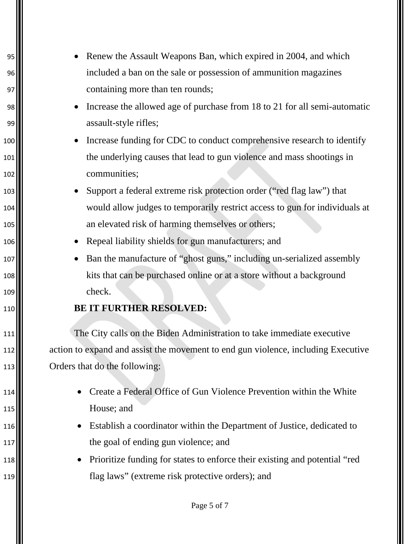- Renew the Assault Weapons Ban, which expired in 2004, and which included a ban on the sale or possession of ammunition magazines 97 || containing more than ten rounds;
- Increase the allowed age of purchase from 18 to 21 for all semi-automatic 99 assault-style rifles;
- **•** Increase funding for CDC to conduct comprehensive research to identify the underlying causes that lead to gun violence and mass shootings in communities;
- **•** Support a federal extreme risk protection order ("red flag law") that would allow judges to temporarily restrict access to gun for individuals at **105** an elevated risk of harming themselves or others;
- Repeal liability shields for gun manufacturers; and
- **Ban the manufacture of "ghost guns," including un-serialized assembly k**its that can be purchased online or at a store without a background 109 check.

## **BE IT FURTHER RESOLVED:**

 The City calls on the Biden Administration to take immediate executive action to expand and assist the movement to end gun violence, including Executive **Orders that do the following:** 

- **Create a Federal Office of Gun Violence Prevention within the White** House; and
- **Establish a coordinator within the Department of Justice, dedicated to the goal of ending gun violence; and**
- Prioritize funding for states to enforce their existing and potential "red flag laws" (extreme risk protective orders); and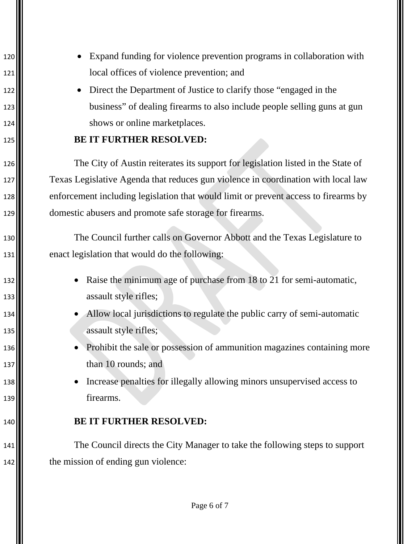- **Expand funding for violence prevention programs in collaboration with** local offices of violence prevention; and
- **II** Direct the Department of Justice to clarify those "engaged in the **business**" of dealing firearms to also include people selling guns at gun 124 || shows or online market places.

## **BE IT FURTHER RESOLVED:**

 The City of Austin reiterates its support for legislation listed in the State of Texas Legislative Agenda that reduces gun violence in coordination with local law enforcement including legislation that would limit or prevent access to firearms by domestic abusers and promote safe storage for firearms.

130 The Council further calls on Governor Abbott and the Texas Legislature to 131 enact legislation that would do the following:

- **•** Raise the minimum age of purchase from 18 to 21 for semi-automatic, 133 assault style rifles;
- **•** Allow local jurisdictions to regulate the public carry of semi-automatic **assault style rifles;**
- Prohibit the sale or possession of ammunition magazines containing more **II** than 10 rounds; and
- Increase penalties for illegally allowing minors unsupervised access to firearms.

### **BE IT FURTHER RESOLVED:**

 The Council directs the City Manager to take the following steps to support **the mission of ending gun violence:**